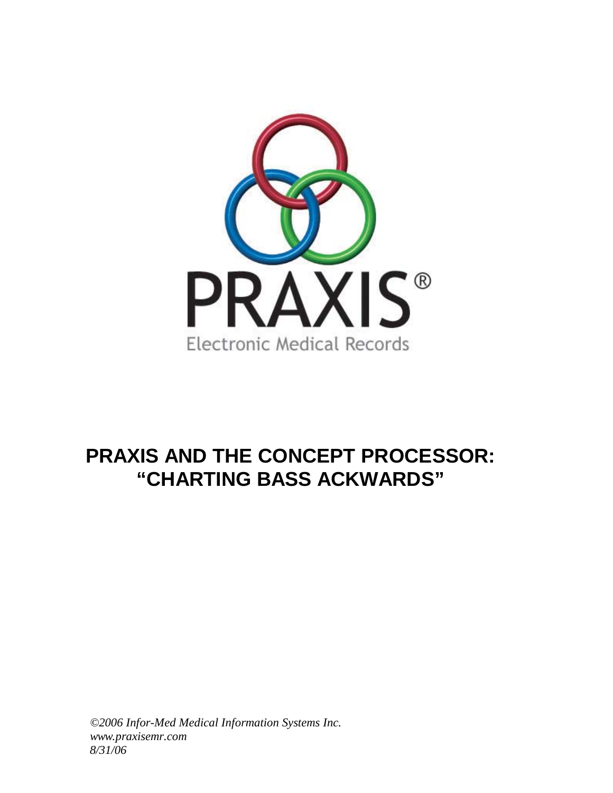

# **PRAXIS AND THE CONCEPT PROCESSOR: "CHARTING BASS ACKWARDS"**

*©2006 Infor-Med Medical Information Systems Inc. www.praxisemr.com 8/31/06*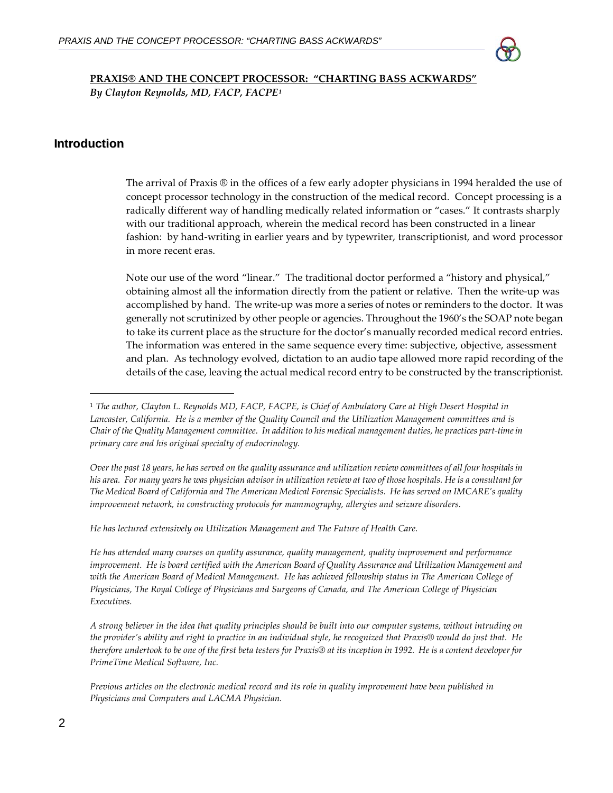

**PRAXIS® AND THE CONCEPT PROCESSOR: "CHARTING BASS ACKWARDS"** *By Clayton Reynolds, MD, FACP, FACPE[1](#page-1-0)*

## **Introduction**

The arrival of Praxis ® in the offices of a few early adopter physicians in 1994 heralded the use of concept processor technology in the construction of the medical record. Concept processing is a radically different way of handling medically related information or "cases." It contrasts sharply with our traditional approach, wherein the medical record has been constructed in a linear fashion: by hand‐writing in earlier years and by typewriter, transcriptionist, and word processor in more recent eras.

Note our use of the word "linear." The traditional doctor performed a "history and physical," obtaining almost all the information directly from the patient or relative. Then the write‐up was accomplished by hand. The write‐up was more a series of notes or reminders to the doctor. It was generally not scrutinized by other people or agencies. Throughout the 1960's the SOAP note began to take its current place as the structure for the doctor's manually recorded medical record entries. The information was entered in the same sequence every time: subjective, objective, assessment and plan. As technology evolved, dictation to an audio tape allowed more rapid recording of the details of the case, leaving the actual medical record entry to be constructed by the transcriptionist.

Over the past 18 years, he has served on the quality assurance and utilization review committees of all four hospitals in his area. For many years he was physician advisor in utilization review at two of those hospitals. He is a consultant for The Medical Board of California and The American Medical Forensic Specialists. He has served on IMCARE's quality *improvement network, in constructing protocols for mammography, allergies and seizure disorders.*

*He has lectured extensively on Utilization Management and The Future of Health Care.*

<u> Andreas Andreas Andreas Andreas Andreas Andreas Andreas Andreas Andreas Andreas Andreas Andreas Andreas Andr</u>

*He has attended many courses on quality assurance, quality management, quality improvement and performance* improvement. He is board certified with the American Board of Quality Assurance and Utilization Management and with the American Board of Medical Management. He has achieved fellowship status in The American College of *Physicians, The Royal College of Physicians and Surgeons of Canada, and The American College of Physician Executives.*

A strong believer in the idea that quality principles should be built into our computer systems, without intruding on the provider's ability and right to practice in an individual style, he recognized that Praxis® would do just that. He therefore undertook to be one of the first beta testers for Praxis® at its inception in 1992. He is a content developer for *PrimeTime Medical Software, Inc.* 

Previous articles on the electronic medical record and its role in quality improvement have been published in *Physicians and Computers and LACMA Physician.*

<span id="page-1-0"></span><sup>&</sup>lt;sup>1</sup> The author, Clayton L. Reynolds MD, FACP, FACPE, is Chief of Ambulatory Care at High Desert Hospital in Lancaster, California. He is a member of the Quality Council and the Utilization Management committees and is Chair of the Quality Management committee. In addition to his medical management duties, he practices part-time in *primary care and his original specialty of endocrinology.*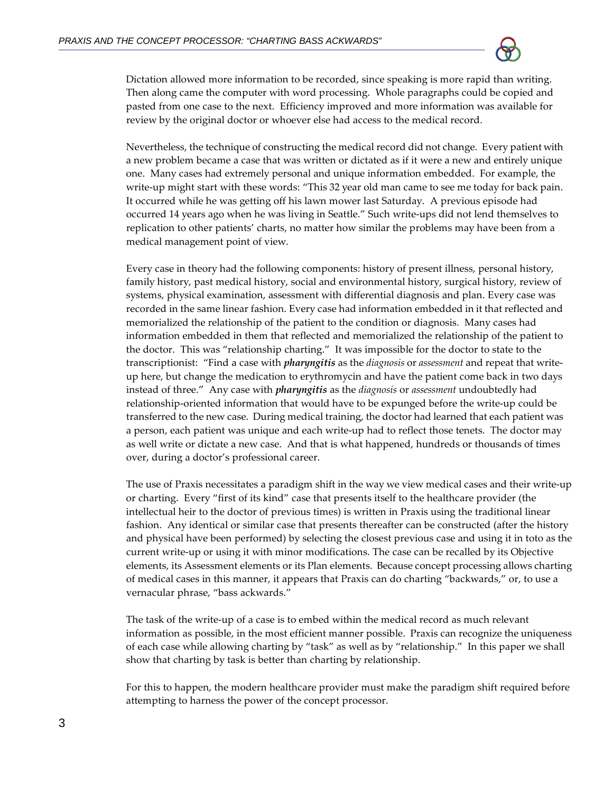

Dictation allowed more information to be recorded, since speaking is more rapid than writing. Then along came the computer with word processing. Whole paragraphs could be copied and pasted from one case to the next. Efficiency improved and more information was available for review by the original doctor or whoever else had access to the medical record.

Nevertheless, the technique of constructing the medical record did not change. Every patient with a new problem became a case that was written or dictated as if it were a new and entirely unique one. Many cases had extremely personal and unique information embedded. For example, the write-up might start with these words: "This 32 year old man came to see me today for back pain. It occurred while he was getting off his lawn mower last Saturday. A previous episode had occurred 14 years ago when he was living in Seattle." Such write-ups did not lend themselves to replication to other patients' charts, no matter how similar the problems may have been from a medical management point of view.

Every case in theory had the following components: history of present illness, personal history, family history, past medical history, social and environmental history, surgical history, review of systems, physical examination, assessment with differential diagnosis and plan. Every case was recorded in the same linear fashion. Every case had information embedded in it that reflected and memorialized the relationship of the patient to the condition or diagnosis. Many cases had information embedded in them that reflected and memorialized the relationship of the patient to the doctor. This was "relationship charting." It was impossible for the doctor to state to the transcriptionist: "Find a case with *pharyngitis* as the *diagnosis* or *assessment* and repeat that write‐ up here, but change the medication to erythromycin and have the patient come back in two days instead of three." Any case with *pharyngitis* as the *diagnosis* or *assessment* undoubtedly had relationship‐oriented information that would have to be expunged before the write‐up could be transferred to the new case. During medical training, the doctor had learned that each patient was a person, each patient was unique and each write-up had to reflect those tenets. The doctor may as well write or dictate a new case. And that is what happened, hundreds or thousands of times over, during a doctor's professional career.

The use of Praxis necessitates a paradigm shift in the way we view medical cases and their write‐up or charting. Every "first of its kind" case that presents itself to the healthcare provider (the intellectual heir to the doctor of previous times) is written in Praxis using the traditional linear fashion. Any identical or similar case that presents thereafter can be constructed (after the history and physical have been performed) by selecting the closest previous case and using it in toto as the current write‐up or using it with minor modifications. The case can be recalled by its Objective elements, its Assessment elements or its Plan elements. Because concept processing allows charting of medical cases in this manner, it appears that Praxis can do charting "backwards," or, to use a vernacular phrase, "bass ackwards."

The task of the write-up of a case is to embed within the medical record as much relevant information as possible, in the most efficient manner possible. Praxis can recognize the uniqueness of each case while allowing charting by "task" as well as by "relationship." In this paper we shall show that charting by task is better than charting by relationship.

For this to happen, the modern healthcare provider must make the paradigm shift required before attempting to harness the power of the concept processor.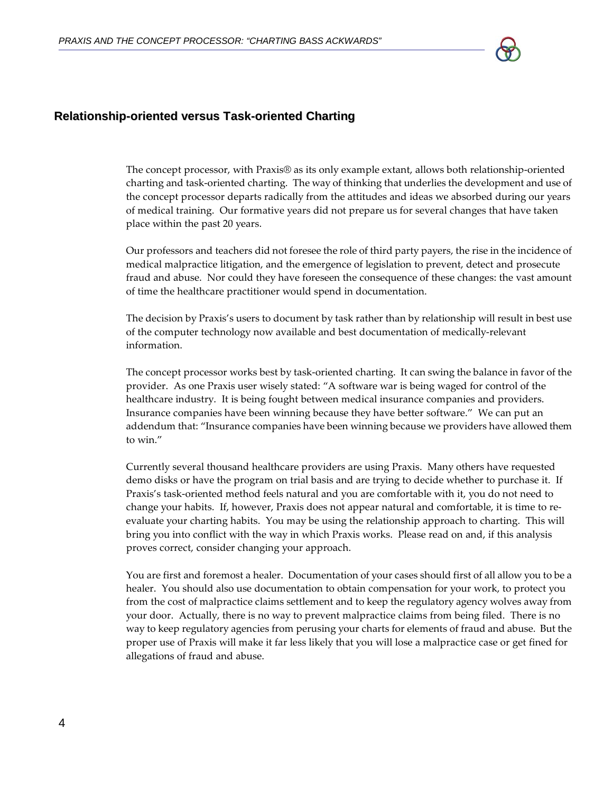

#### **Relationship-oriented versus Task-oriented Charting**

The concept processor, with Praxis® as its only example extant, allows both relationship-oriented charting and task‐oriented charting. The way of thinking that underlies the development and use of the concept processor departs radically from the attitudes and ideas we absorbed during our years of medical training. Our formative years did not prepare us for several changes that have taken place within the past 20 years.

Our professors and teachers did not foresee the role of third party payers, the rise in the incidence of medical malpractice litigation, and the emergence of legislation to prevent, detect and prosecute fraud and abuse. Nor could they have foreseen the consequence of these changes: the vast amount of time the healthcare practitioner would spend in documentation.

The decision by Praxis's users to document by task rather than by relationship will result in best use of the computer technology now available and best documentation of medically‐relevant information.

The concept processor works best by task‐oriented charting. It can swing the balance in favor of the provider. As one Praxis user wisely stated: "A software war is being waged for control of the healthcare industry. It is being fought between medical insurance companies and providers. Insurance companies have been winning because they have better software." We can put an addendum that: "Insurance companies have been winning because we providers have allowed them to win."

Currently several thousand healthcare providers are using Praxis. Many others have requested demo disks or have the program on trial basis and are trying to decide whether to purchase it. If Praxis's task‐oriented method feels natural and you are comfortable with it, you do not need to change your habits. If, however, Praxis does not appear natural and comfortable, it is time to re‐ evaluate your charting habits. You may be using the relationship approach to charting. This will bring you into conflict with the way in which Praxis works. Please read on and, if this analysis proves correct, consider changing your approach.

You are first and foremost a healer. Documentation of your cases should first of all allow you to be a healer. You should also use documentation to obtain compensation for your work, to protect you from the cost of malpractice claims settlement and to keep the regulatory agency wolves away from your door. Actually, there is no way to prevent malpractice claims from being filed. There is no way to keep regulatory agencies from perusing your charts for elements of fraud and abuse. But the proper use of Praxis will make it far less likely that you will lose a malpractice case or get fined for allegations of fraud and abuse.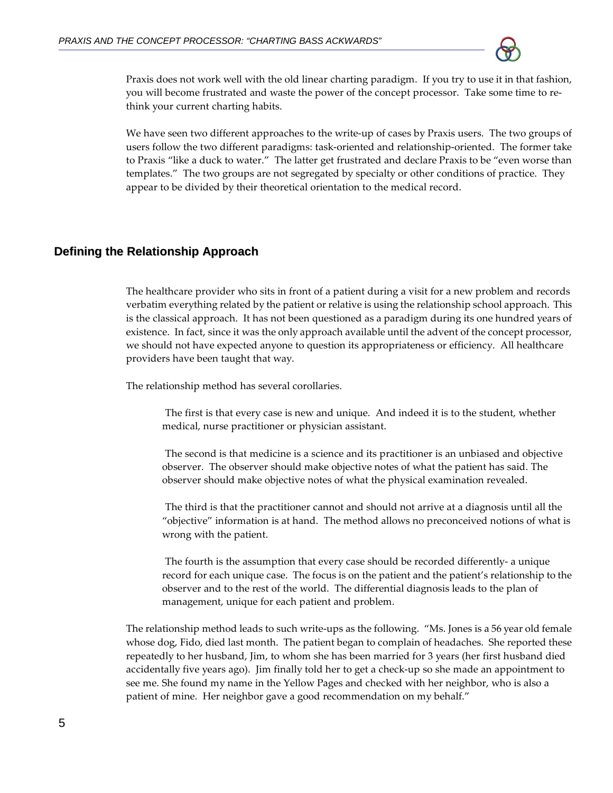

Praxis does not work well with the old linear charting paradigm. If you try to use it in that fashion, you will become frustrated and waste the power of the concept processor. Take some time to rethink your current charting habits.

We have seen two different approaches to the write-up of cases by Praxis users. The two groups of users follow the two different paradigms: task‐oriented and relationship‐oriented. The former take to Praxis "like a duck to water." The latter get frustrated and declare Praxis to be "even worse than templates." The two groups are not segregated by specialty or other conditions of practice. They appear to be divided by their theoretical orientation to the medical record.

# **Defining the Relationship Approach**

The healthcare provider who sits in front of a patient during a visit for a new problem and records verbatim everything related by the patient or relative is using the relationship school approach. This is the classical approach. It has not been questioned as a paradigm during its one hundred years of existence. In fact, since it was the only approach available until the advent of the concept processor, we should not have expected anyone to question its appropriateness or efficiency. All healthcare providers have been taught that way.

The relationship method has several corollaries.

The first is that every case is new and unique. And indeed it is to the student, whether medical, nurse practitioner or physician assistant.

The second is that medicine is a science and its practitioner is an unbiased and objective observer. The observer should make objective notes of what the patient has said. The observer should make objective notes of what the physical examination revealed.

The third is that the practitioner cannot and should not arrive at a diagnosis until all the "objective" information is at hand. The method allows no preconceived notions of what is wrong with the patient.

The fourth is the assumption that every case should be recorded differently‐ a unique record for each unique case. The focus is on the patient and the patient's relationship to the observer and to the rest of the world. The differential diagnosis leads to the plan of management, unique for each patient and problem.

The relationship method leads to such write-ups as the following. "Ms. Jones is a 56 year old female whose dog, Fido, died last month. The patient began to complain of headaches. She reported these repeatedly to her husband, Jim, to whom she has been married for 3 years (her first husband died accidentally five years ago). Jim finally told her to get a check‐up so she made an appointment to see me. She found my name in the Yellow Pages and checked with her neighbor, who is also a patient of mine. Her neighbor gave a good recommendation on my behalf."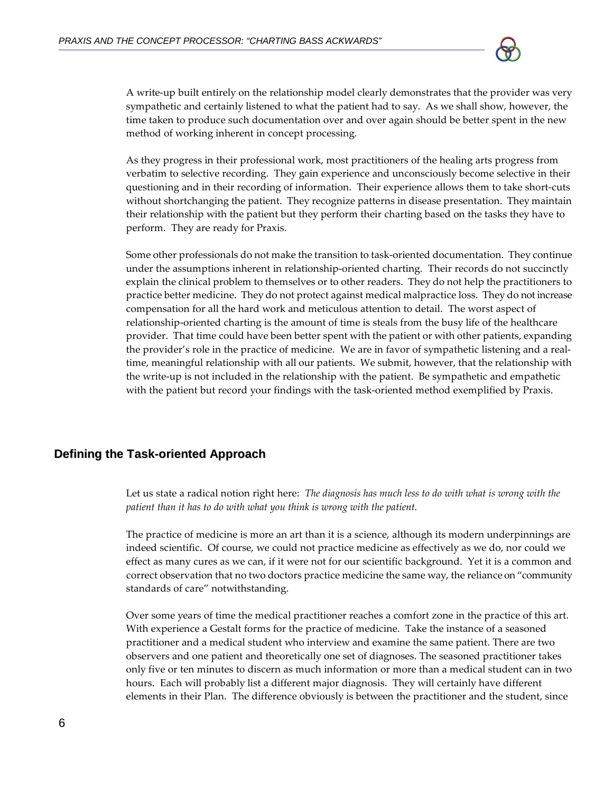

A write‐up built entirely on the relationship model clearly demonstrates that the provider was very sympathetic and certainly listened to what the patient had to say. As we shall show, however, the time taken to produce such documentation over and over again should be better spent in the new method of working inherent in concept processing.

As they progress in their professional work, most practitioners of the healing arts progress from verbatim to selective recording. They gain experience and unconsciously become selective in their questioning and in their recording of information. Their experience allows them to take short-cuts without shortchanging the patient. They recognize patterns in disease presentation. They maintain their relationship with the patient but they perform their charting based on the tasks they have to perform. They are ready for Praxis.

Some other professionals do not make the transition to task‐oriented documentation. They continue under the assumptions inherent in relationship‐oriented charting. Their records do not succinctly explain the clinical problem to themselves or to other readers. They do not help the practitioners to practice better medicine. They do not protect against medical malpractice loss. They do not increase compensation for all the hard work and meticulous attention to detail. The worst aspect of relationship‐oriented charting is the amount of time is steals from the busy life of the healthcare provider. That time could have been better spent with the patient or with other patients, expanding the provider's role in the practice of medicine. We are in favor of sympathetic listening and a real‐ time, meaningful relationship with all our patients. We submit, however, that the relationship with the write‐up is not included in the relationship with the patient. Be sympathetic and empathetic with the patient but record your findings with the task‐oriented method exemplified by Praxis.

#### **Defining the Task-oriented Approach**

Let us state a radical notion right here: *The diagnosis has much less to do with what is wrong with the patient than it has to do with what you think is wrong with the patient.*

The practice of medicine is more an art than it is a science, although its modern underpinnings are indeed scientific. Of course, we could not practice medicine as effectively as we do, nor could we effect as many cures as we can, if it were not for our scientific background. Yet it is a common and correct observation that no two doctors practice medicine the same way, the reliance on "community standards of care" notwithstanding.

Over some years of time the medical practitioner reaches a comfort zone in the practice of this art. With experience a Gestalt forms for the practice of medicine. Take the instance of a seasoned practitioner and a medical student who interview and examine the same patient. There are two observers and one patient and theoretically one set of diagnoses. The seasoned practitioner takes only five or ten minutes to discern as much information or more than a medical student can in two hours. Each will probably list a different major diagnosis. They will certainly have different elements in their Plan. The difference obviously is between the practitioner and the student, since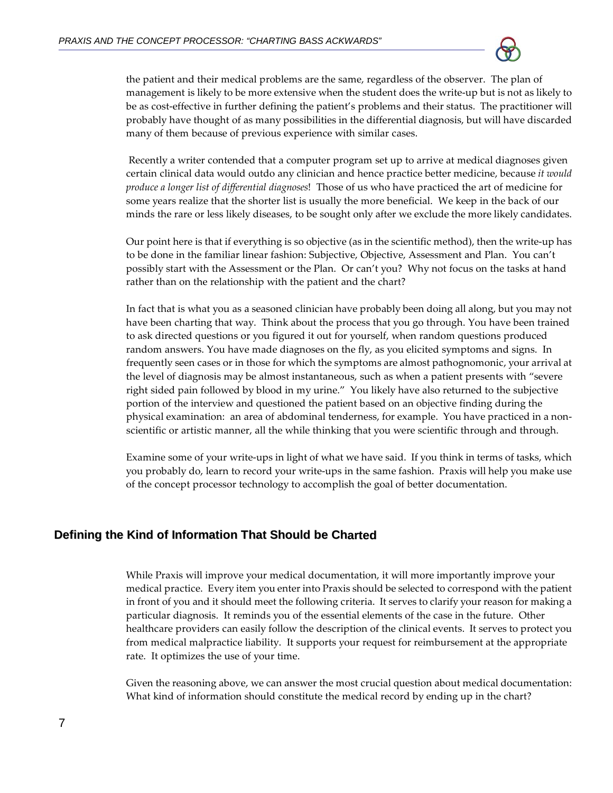

the patient and their medical problems are the same, regardless of the observer. The plan of management is likely to be more extensive when the student does the write‐up but is not as likely to be as cost-effective in further defining the patient's problems and their status. The practitioner will probably have thought of as many possibilities in the differential diagnosis, but will have discarded many of them because of previous experience with similar cases.

Recently a writer contended that a computer program set up to arrive at medical diagnoses given certain clinical data would outdo any clinician and hence practice better medicine, because *it would produce a longer list of differential diagnoses*! Those of us who have practiced the art of medicine for some years realize that the shorter list is usually the more beneficial. We keep in the back of our minds the rare or less likely diseases, to be sought only after we exclude the more likely candidates.

Our point here is that if everything is so objective (as in the scientific method), then the write‐up has to be done in the familiar linear fashion: Subjective, Objective, Assessment and Plan. You can't possibly start with the Assessment or the Plan. Or can't you? Why not focus on the tasks at hand rather than on the relationship with the patient and the chart?

In fact that is what you as a seasoned clinician have probably been doing all along, but you may not have been charting that way. Think about the process that you go through. You have been trained to ask directed questions or you figured it out for yourself, when random questions produced random answers. You have made diagnoses on the fly, as you elicited symptoms and signs. In frequently seen cases or in those for which the symptoms are almost pathognomonic, your arrival at the level of diagnosis may be almost instantaneous, such as when a patient presents with "severe right sided pain followed by blood in my urine." You likely have also returned to the subjective portion of the interview and questioned the patient based on an objective finding during the physical examination: an area of abdominal tenderness, for example. You have practiced in a non‐ scientific or artistic manner, all the while thinking that you were scientific through and through.

Examine some of your write-ups in light of what we have said. If you think in terms of tasks, which you probably do, learn to record your write‐ups in the same fashion. Praxis will help you make use of the concept processor technology to accomplish the goal of better documentation.

## **Defining the Kind of Information That Should be Charted**

While Praxis will improve your medical documentation, it will more importantly improve your medical practice. Every item you enter into Praxis should be selected to correspond with the patient in front of you and it should meet the following criteria. It serves to clarify your reason for making a particular diagnosis. It reminds you of the essential elements of the case in the future. Other healthcare providers can easily follow the description of the clinical events. It serves to protect you from medical malpractice liability. It supports your request for reimbursement at the appropriate rate. It optimizes the use of your time.

Given the reasoning above, we can answer the most crucial question about medical documentation: What kind of information should constitute the medical record by ending up in the chart?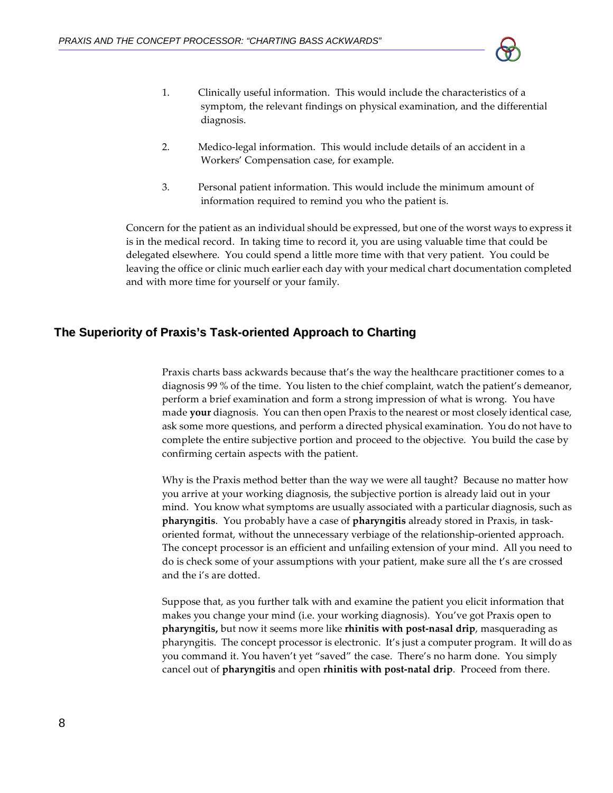

- 1. Clinically useful information. This would include the characteristics of a symptom, the relevant findings on physical examination, and the differential diagnosis.
- 2. Medico-legal information. This would include details of an accident in a Workers' Compensation case, for example.
- 3. Personal patient information. This would include the minimum amount of information required to remind you who the patient is.

Concern for the patient as an individual should be expressed, but one of the worst ways to express it is in the medical record. In taking time to record it, you are using valuable time that could be delegated elsewhere. You could spend a little more time with that very patient. You could be leaving the office or clinic much earlier each day with your medical chart documentation completed and with more time for yourself or your family.

# **The Superiority of Praxis's Task-oriented Approach to Charting**

Praxis charts bass ackwards because that's the way the healthcare practitioner comes to a diagnosis 99 % of the time. You listen to the chief complaint, watch the patient's demeanor, perform a brief examination and form a strong impression of what is wrong. You have made **your** diagnosis. You can then open Praxis to the nearest or most closely identical case, ask some more questions, and perform a directed physical examination. You do not have to complete the entire subjective portion and proceed to the objective. You build the case by confirming certain aspects with the patient.

Why is the Praxis method better than the way we were all taught? Because no matter how you arrive at your working diagnosis, the subjective portion is already laid out in your mind. You know what symptoms are usually associated with a particular diagnosis, such as **pharyngitis**. You probably have a case of **pharyngitis** already stored in Praxis, in task‐ oriented format, without the unnecessary verbiage of the relationship‐oriented approach. The concept processor is an efficient and unfailing extension of your mind. All you need to do is check some of your assumptions with your patient, make sure all the t's are crossed and the i's are dotted.

Suppose that, as you further talk with and examine the patient you elicit information that makes you change your mind (i.e. your working diagnosis). You've got Praxis open to **pharyngitis,** but now it seems more like **rhinitis with post‐nasal drip**, masquerading as pharyngitis. The concept processor is electronic. It's just a computer program. It will do as you command it. You haven't yet "saved" the case. There's no harm done. You simply cancel out of **pharyngitis** and open **rhinitis with post‐natal drip**. Proceed from there.